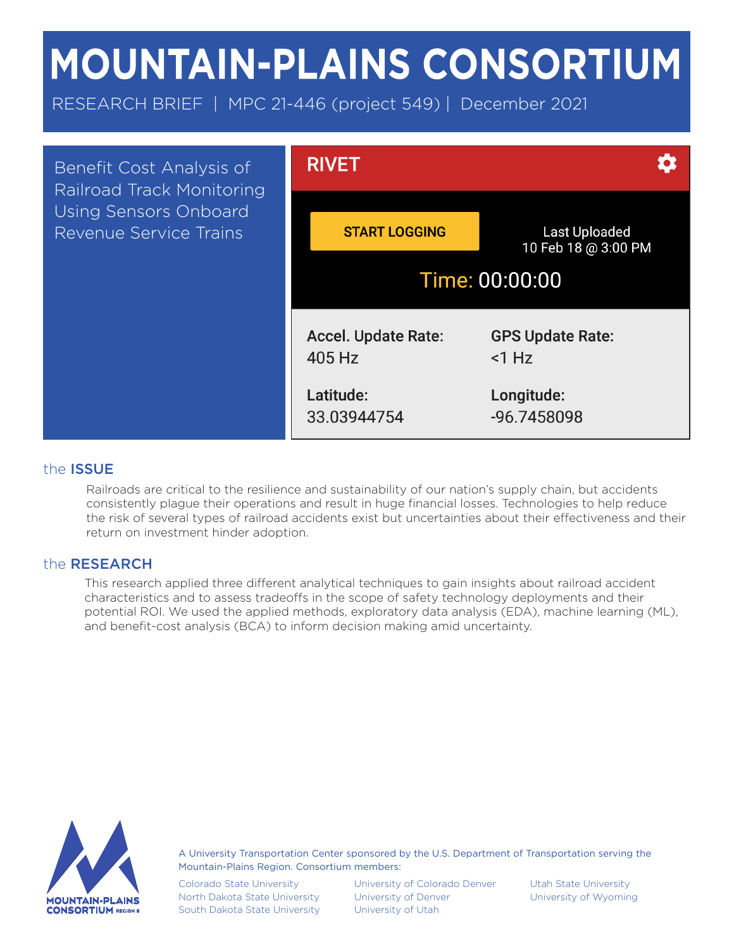# **MOUNTAIN-PLAINS CONSORTIUM**

RESEARCH BRIEF | MPC 21-446 (project 549) | December 2021



# the ISSUE

Railroads are critical to the resilience and sustainability of our nation's supply chain, but accidents consistently plague their operations and result in huge financial losses. Technologies to help reduce the risk of several types of railroad accidents exist but uncertainties about their effectiveness and their return on investment hinder adoption.

# the RESEARCH

This research applied three different analytical techniques to gain insights about railroad accident characteristics and to assess tradeoffs in the scope of safety technology deployments and their potential ROI. We used the applied methods, exploratory data analysis (EDA), machine learning (ML), and benefit-cost analysis (BCA) to inform decision making amid uncertainty.



A University Transportation Center sponsored by the U.S. Department of Transportation serving the Mountain-Plains Region. Consortium members:

Colorado State University North Dakota State University South Dakota State University

University of Colorado Denver University of Denver University of Utah

Utah State University University of Wyoming